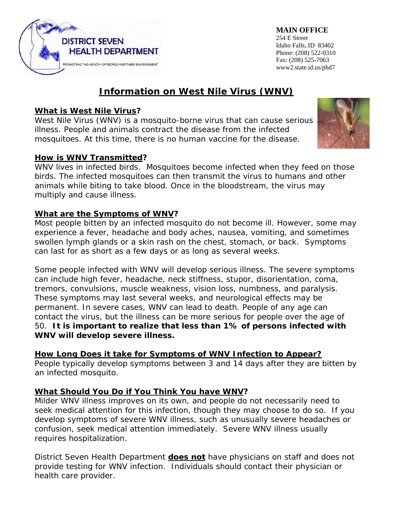

**MAIN OFFICE**  254 E Street Idaho Falls, ID 83402 Phone: (208) 522-0310 Fax: (208) 525-7063 www2.state.id.us/phd7

# **Information on West Nile Virus (WNV)**

# **What is West Nile Virus?**

West Nile Virus (WNV) is a mosquito-borne virus that can cause serious illness. People and animals contract the disease from the infected mosquitoes. At this time, there is no human vaccine for the disease.

## **How is WNV Transmitted?**

WNV lives in infected birds. Mosquitoes become infected when they feed on those birds. The infected mosquitoes can then transmit the virus to humans and other animals while biting to take blood. Once in the bloodstream, the virus may multiply and cause illness.

## **What are the Symptoms of WNV?**

Most people bitten by an infected mosquito do not become ill. However, some may experience a fever, headache and body aches, nausea, vomiting, and sometimes swollen lymph glands or a skin rash on the chest, stomach, or back. Symptoms can last for as short as a few days or as long as several weeks.

Some people infected with WNV will develop serious illness. The severe symptoms can include high fever, headache, neck stiffness, stupor, disorientation, coma, tremors, convulsions, muscle weakness, vision loss, numbness, and paralysis. These symptoms may last several weeks, and neurological effects may be permanent. In severe cases, WNV can lead to death. People of any age can contact the virus, but the illness can be more serious for people over the age of 50. *It is important to realize that less than 1% of persons infected with WNV will develop severe illness.* 

## **How Long Does it take for Symptoms of WNV Infection to Appear?**

People typically develop symptoms between 3 and 14 days after they are bitten by an infected mosquito.

## **What Should You Do if You Think You have WNV?**

Milder WNV illness improves on its own, and people do not necessarily need to seek medical attention for this infection, though they may choose to do so. If you develop symptoms of severe WNV illness, such as unusually severe headaches or confusion, seek medical attention immediately. Severe WNV illness usually requires hospitalization.

District Seven Health Department **does not** have physicians on staff and does not provide testing for WNV infection. Individuals should contact their physician or health care provider.